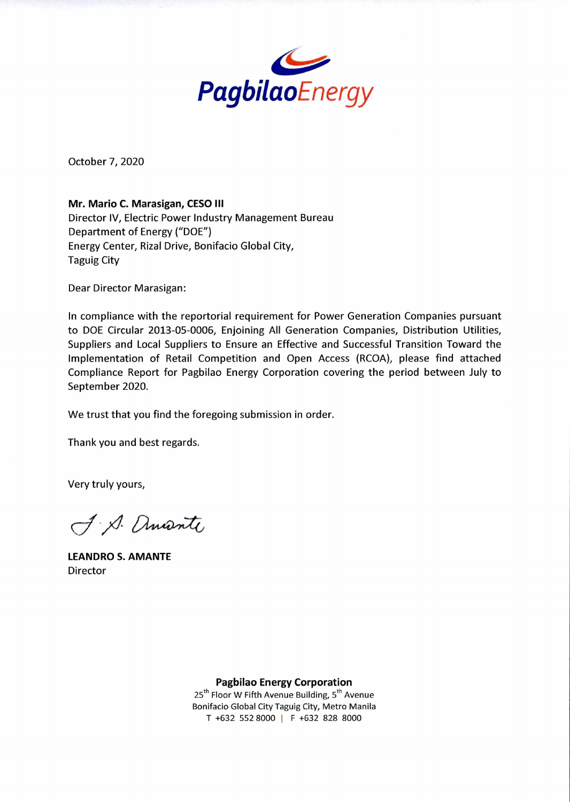

October 7, 2020

**Mr. Mario C. Marasigan, CESO III**  Director IV, Electric Power Industry Management Bureau Department of Energy ("DOE") Energy Center, Rizal Drive, Bonifacio Global City, Taguig City

Dear Director Marasigan:

In compliance with the reportorial requirement for Power Generation Companies pursuant to DOE Circular 2013-05-0006, Enjoining All Generation Companies, Distribution Utilities, Suppliers and Local Suppliers to Ensure an Effective and Successful Transition Toward the Implementation of Retail Competition and Open Access (RCOA), please find attached Compliance Report for Pagbilao Energy Corporation covering the period between July to September 2020.

We trust that you find the foregoing submission in order.

Thank you and best regards.

Very truly yours,

J. Ancante

**LEANDRO S. AMANTE**  Director

**Pagbilao Energy Corporation** 

25<sup>th</sup> Floor W Fifth Avenue Building, 5<sup>th</sup> Avenue Bonifacio Global City Taguig City, Metro Manila T +632 552 8000 I F +632 828 8000